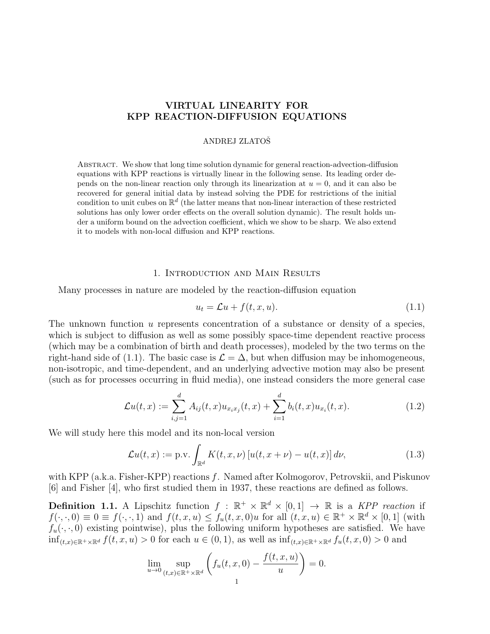# VIRTUAL LINEARITY FOR KPP REACTION-DIFFUSION EQUATIONS

## ANDREJ ZLATOSˇ

Abstract. We show that long time solution dynamic for general reaction-advection-diffusion equations with KPP reactions is virtually linear in the following sense. Its leading order depends on the non-linear reaction only through its linearization at  $u = 0$ , and it can also be recovered for general initial data by instead solving the PDE for restrictions of the initial condition to unit cubes on  $\mathbb{R}^d$  (the latter means that non-linear interaction of these restricted solutions has only lower order effects on the overall solution dynamic). The result holds under a uniform bound on the advection coefficient, which we show to be sharp. We also extend it to models with non-local diffusion and KPP reactions.

# 1. Introduction and Main Results

Many processes in nature are modeled by the reaction-diffusion equation

$$
u_t = \mathcal{L}u + f(t, x, u). \tag{1.1}
$$

The unknown function u represents concentration of a substance or density of a species, which is subject to diffusion as well as some possibly space-time dependent reactive process (which may be a combination of birth and death processes), modeled by the two terms on the right-hand side of (1.1). The basic case is  $\mathcal{L} = \Delta$ , but when diffusion may be inhomogeneous, non-isotropic, and time-dependent, and an underlying advective motion may also be present (such as for processes occurring in fluid media), one instead considers the more general case

$$
\mathcal{L}u(t,x) := \sum_{i,j=1}^d A_{ij}(t,x)u_{x_ix_j}(t,x) + \sum_{i=1}^d b_i(t,x)u_{x_i}(t,x).
$$
 (1.2)

We will study here this model and its non-local version

$$
\mathcal{L}u(t,x) := \text{p.v.} \int_{\mathbb{R}^d} K(t,x,\nu) \left[ u(t,x+\nu) - u(t,x) \right] d\nu,
$$
\n(1.3)

with KPP (a.k.a. Fisher-KPP) reactions f. Named after Kolmogorov, Petrovskii, and Piskunov [6] and Fisher [4], who first studied them in 1937, these reactions are defined as follows.

**Definition 1.1.** A Lipschitz function  $f : \mathbb{R}^+ \times \mathbb{R}^d \times [0,1] \rightarrow \mathbb{R}$  is a KPP reaction if  $f(\cdot,\cdot,0) \equiv 0 \equiv f(\cdot,\cdot,1)$  and  $f(t,x,u) \leq f_u(t,x,0)u$  for all  $(t,x,u) \in \mathbb{R}^+ \times \mathbb{R}^d \times [0,1]$  (with  $f_u(\cdot, \cdot, 0)$  existing pointwise), plus the following uniform hypotheses are satisfied. We have  $\inf_{(t,x)\in\mathbb{R}^+\times\mathbb{R}^d} f(t,x,u) > 0$  for each  $u \in (0,1)$ , as well as  $\inf_{(t,x)\in\mathbb{R}^+\times\mathbb{R}^d} f_u(t,x,0) > 0$  and

$$
\lim_{u \to 0} \sup_{(t,x) \in \mathbb{R}^+ \times \mathbb{R}^d} \left( f_u(t,x,0) - \frac{f(t,x,u)}{u} \right) = 0.
$$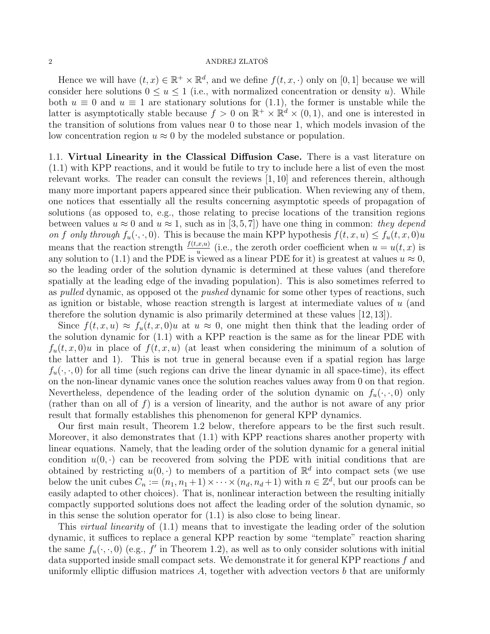### $2\,$  ANDREJ ZLATOŠ $\,$

Hence we will have  $(t, x) \in \mathbb{R}^+ \times \mathbb{R}^d$ , and we define  $f(t, x, \cdot)$  only on [0, 1] because we will consider here solutions  $0 \le u \le 1$  (i.e., with normalized concentration or density u). While both  $u \equiv 0$  and  $u \equiv 1$  are stationary solutions for (1.1), the former is unstable while the latter is asymptotically stable because  $f > 0$  on  $\mathbb{R}^+ \times \mathbb{R}^d \times (0,1)$ , and one is interested in the transition of solutions from values near 0 to those near 1, which models invasion of the low concentration region  $u \approx 0$  by the modeled substance or population.

1.1. Virtual Linearity in the Classical Diffusion Case. There is a vast literature on (1.1) with KPP reactions, and it would be futile to try to include here a list of even the most relevant works. The reader can consult the reviews [1, 10] and references therein, although many more important papers appeared since their publication. When reviewing any of them, one notices that essentially all the results concerning asymptotic speeds of propagation of solutions (as opposed to, e.g., those relating to precise locations of the transition regions between values  $u \approx 0$  and  $u \approx 1$ , such as in [3,5,7]) have one thing in common: they depend on f only through  $f_u(\cdot, \cdot, 0)$ . This is because the main KPP hypothesis  $f(t, x, u) \le f_u(t, x, 0)u$ means that the reaction strength  $\frac{f(t,x,u)}{u}$  (i.e., the zeroth order coefficient when  $u = u(t,x)$  is any solution to (1.1) and the PDE is viewed as a linear PDE for it) is greatest at values  $u \approx 0$ , so the leading order of the solution dynamic is determined at these values (and therefore spatially at the leading edge of the invading population). This is also sometimes referred to as *pulled* dynamic, as opposed ot the *pushed* dynamic for some other types of reactions, such as ignition or bistable, whose reaction strength is largest at intermediate values of  $u$  (and therefore the solution dynamic is also primarily determined at these values [12, 13]).

Since  $f(t, x, u) \approx f_u(t, x, 0)u$  at  $u \approx 0$ , one might then think that the leading order of the solution dynamic for (1.1) with a KPP reaction is the same as for the linear PDE with  $f_u(t, x, 0)u$  in place of  $f(t, x, u)$  (at least when considering the minimum of a solution of the latter and 1). This is not true in general because even if a spatial region has large  $f_u(\cdot, \cdot, 0)$  for all time (such regions can drive the linear dynamic in all space-time), its effect on the non-linear dynamic vanes once the solution reaches values away from 0 on that region. Nevertheless, dependence of the leading order of the solution dynamic on  $f_u(\cdot, \cdot, 0)$  only (rather than on all of  $f$ ) is a version of linearity, and the author is not aware of any prior result that formally establishes this phenomenon for general KPP dynamics.

Our first main result, Theorem 1.2 below, therefore appears to be the first such result. Moreover, it also demonstrates that (1.1) with KPP reactions shares another property with linear equations. Namely, that the leading order of the solution dynamic for a general initial condition  $u(0, \cdot)$  can be recovered from solving the PDE with initial conditions that are obtained by restricting  $u(0, \cdot)$  to members of a partition of  $\mathbb{R}^d$  into compact sets (we use below the unit cubes  $\tilde{C}_n := (n_1, n_1 + 1) \times \cdots \times (n_d, n_d + 1)$  with  $n \in \mathbb{Z}^d$ , but our proofs can be easily adapted to other choices). That is, nonlinear interaction between the resulting initially compactly supported solutions does not affect the leading order of the solution dynamic, so in this sense the solution operator for  $(1.1)$  is also close to being linear.

This *virtual linearity* of  $(1.1)$  means that to investigate the leading order of the solution dynamic, it suffices to replace a general KPP reaction by some "template" reaction sharing the same  $f_u(\cdot, \cdot, 0)$  (e.g., f' in Theorem 1.2), as well as to only consider solutions with initial data supported inside small compact sets. We demonstrate it for general KPP reactions f and uniformly elliptic diffusion matrices  $A$ , together with advection vectors  $b$  that are uniformly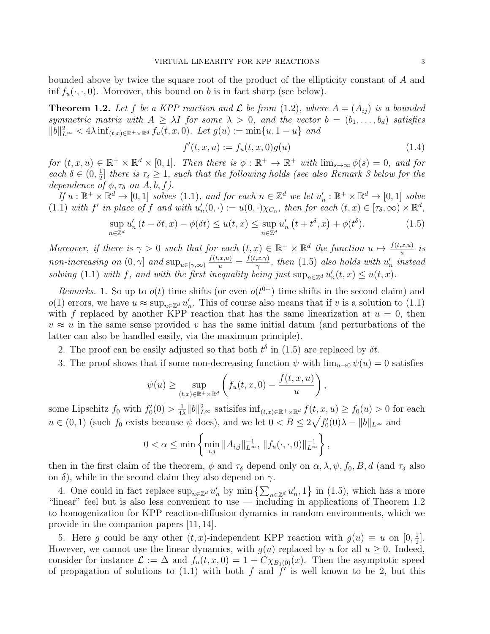bounded above by twice the square root of the product of the ellipticity constant of A and inf  $f_u(\cdot, \cdot, 0)$ . Moreover, this bound on b is in fact sharp (see below).

**Theorem 1.2.** Let f be a KPP reaction and  $\mathcal{L}$  be from (1.2), where  $A = (A_{ij})$  is a bounded symmetric matrix with  $A \geq \lambda I$  for some  $\lambda > 0$ , and the vector  $b = (b_1, \ldots, b_d)$  satisfies  $||b||_{L^{\infty}}^2 < 4\lambda \inf_{(t,x)\in\mathbb{R}^+\times\mathbb{R}^d} f_u(t,x,0)$ . Let  $g(u) := \min\{u, 1-u\}$  and

$$
f'(t, x, u) := f_u(t, x, 0)g(u)
$$
\n(1.4)

for  $(t, x, u) \in \mathbb{R}^+ \times \mathbb{R}^d \times [0, 1]$ . Then there is  $\phi : \mathbb{R}^+ \to \mathbb{R}^+$  with  $\lim_{s \to \infty} \phi(s) = 0$ , and for each  $\delta \in (0, \frac{1}{2})$  $\frac{1}{2}$  there is  $\tau_{\delta} \geq 1$ , such that the following holds (see also Remark 3 below for the dependence of  $\phi$ ,  $\tau_{\delta}$  on A, b, f).

If  $u : \mathbb{R}^+ \times \mathbb{R}^d \to [0,1]$  solves  $(1.1)$ , and for each  $n \in \mathbb{Z}^d$  we let  $u'_n : \mathbb{R}^+ \times \mathbb{R}^d \to [0,1]$  solve (1.1) with f' in place of f and with  $u'_n(0, \cdot) := u(0, \cdot)\chi_{C_n}$ , then for each  $(t, x) \in [\tau_\delta, \infty) \times \mathbb{R}^d$ ,

$$
\sup_{n\in\mathbb{Z}^d} u'_n\left(t - \delta t, x\right) - \phi(\delta t) \le u(t, x) \le \sup_{n\in\mathbb{Z}^d} u'_n\left(t + t^{\delta}, x\right) + \phi(t^{\delta}).\tag{1.5}
$$

Moreover, if there is  $\gamma > 0$  such that for each  $(t, x) \in \mathbb{R}^+ \times \mathbb{R}^d$  the function  $u \mapsto \frac{f(t, x, u)}{u}$  is non-increasing on  $(0, \gamma]$  and  $\sup_{u \in [\gamma, \infty)} \frac{f(t, x, u)}{u} = \frac{f(t, x, \gamma)}{\gamma}$  $\frac{\partial f(x,\gamma)}{\partial x}$ , then (1.5) also holds with  $u'_n$  instead solving (1.1) with f, and with the first inequality being just  $\sup_{n\in\mathbb{Z}^d} u'_n(t,x) \leq u(t,x)$ .

Remarks. 1. So up to  $o(t)$  time shifts (or even  $o(t^{0+})$  time shifts in the second claim) and  $o(1)$  errors, we have  $u \approx \sup_{n \in \mathbb{Z}^d} u'_n$ . This of course also means that if v is a solution to  $(1.1)$ with f replaced by another KPP reaction that has the same linearization at  $u = 0$ , then  $v \approx u$  in the same sense provided v has the same initial datum (and perturbations of the latter can also be handled easily, via the maximum principle).

- 2. The proof can be easily adjusted so that both  $t^{\delta}$  in (1.5) are replaced by  $\delta t$ .
- 3. The proof shows that if some non-decreasing function  $\psi$  with  $\lim_{u\to 0} \psi(u) = 0$  satisfies

$$
\psi(u) \ge \sup_{(t,x)\in\mathbb{R}^+\times\mathbb{R}^d} \left( f_u(t,x,0) - \frac{f(t,x,u)}{u} \right),\,
$$

some Lipschitz  $f_0$  with  $f'_0(0) > \frac{1}{4}$  $\frac{1}{4\lambda} ||b||_{L^{\infty}}^2$  satisifes  $\inf_{(t,x)\in\mathbb{R}^+\times\mathbb{R}^d} f(t,x,u) \ge f_0(u) > 0$  for each  $u \in (0,1)$  (such  $f_0$  exists because  $\psi$  does), and we let  $0 < B \leq 2\sqrt{f'_0(0)}\lambda - ||b||_{L^\infty}$  and

$$
0 < \alpha \le \min\left\{\min_{i,j} \|A_{i,j}\|_{L^\infty}^{-1}, \|f_u(\cdot,\cdot,0)\|_{L^\infty}^{-1}\right\},\
$$

then in the first claim of the theorem,  $\phi$  and  $\tau_{\delta}$  depend only on  $\alpha, \lambda, \psi, f_0, B, d$  (and  $\tau_{\delta}$  also on  $\delta$ ), while in the second claim they also depend on  $\gamma$ .

4. One could in fact replace  $\sup_{n\in\mathbb{Z}^d}u'_n$  by  $\min\left\{\sum_{n\in\mathbb{Z}^d}u'_n,1\right\}$  in (1.5), which has a more "linear" feel but is also less convenient to use — including in applications of Theorem 1.2 to homogenization for KPP reaction-diffusion dynamics in random environments, which we provide in the companion papers [11, 14].

5. Here g could be any other  $(t, x)$ -independent KPP reaction with  $g(u) \equiv u$  on  $[0, \frac{1}{2}]$  $\frac{1}{2}$ . However, we cannot use the linear dynamics, with  $g(u)$  replaced by u for all  $u \ge 0$ . Indeed, consider for instance  $\mathcal{L} := \Delta$  and  $f_u(t, x, 0) = 1 + C \chi_{B_1(0)}(x)$ . Then the asymptotic speed of propagation of solutions to (1.1) with both f and  $f'$  is well known to be 2, but this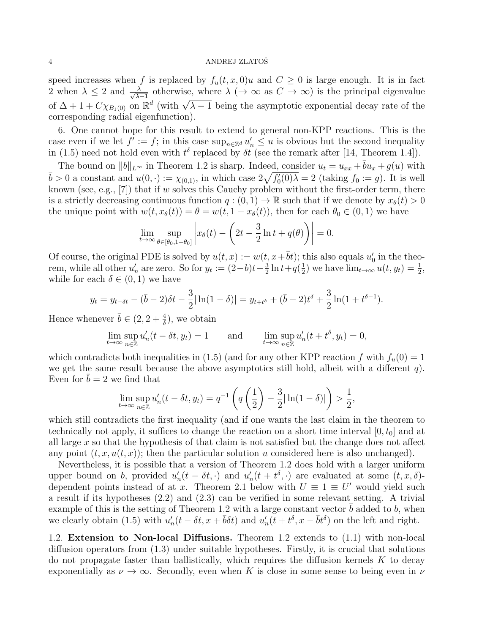speed increases when f is replaced by  $f_u(t, x, 0)u$  and  $C \geq 0$  is large enough. It is in fact 2 when  $\lambda \leq 2$  and  $\frac{\lambda}{\sqrt{\lambda}}$  $\frac{\lambda}{\lambda-1}$  otherwise, where  $\lambda \ (\rightarrow \infty \text{ as } C \rightarrow \infty)$  is the principal eigenvalue of  $\Delta + 1 + C \chi_{B_1(0)}$  on  $\mathbb{R}^d$  (with  $\sqrt{\lambda - 1}$  being the asymptotic exponential decay rate of the corresponding radial eigenfunction).

6. One cannot hope for this result to extend to general non-KPP reactions. This is the case even if we let  $f' := f$ ; in this case  $\sup_{n \in \mathbb{Z}^d} u'_n \leq u$  is obvious but the second inequality in (1.5) need not hold even with  $t^{\delta}$  replaced by  $\delta t$  (see the remark after [14, Theorem 1.4]).

The bound on  $||b||_{L^{\infty}}$  in Theorem 1.2 is sharp. Indeed, consider  $u_t = u_{xx} + \bar{b}u_x + g(u)$  with  $\bar{b} > 0$  a constant and  $u(0, \cdot) := \chi_{(0,1)}$ , in which case  $2\sqrt{f'_0(0)}\lambda = 2$  (taking  $f_0 := g$ ). It is well known (see, e.g., [7]) that if w solves this Cauchy problem without the first-order term, there is a strictly decreasing continuous function  $q:(0,1) \to \mathbb{R}$  such that if we denote by  $x_{\theta}(t) > 0$ the unique point with  $w(t, x_{\theta}(t)) = \theta = w(t, 1 - x_{\theta}(t))$ , then for each  $\theta_0 \in (0, 1)$  we have

$$
\lim_{t \to \infty} \sup_{\theta \in [\theta_0, 1 - \theta_0]} \left| x_{\theta}(t) - \left( 2t - \frac{3}{2} \ln t + q(\theta) \right) \right| = 0.
$$

Of course, the original PDE is solved by  $u(t, x) := w(t, x + \overline{b}t)$ ; this also equals  $u'_0$  in the theorem, while all other  $u'_n$  are zero. So for  $y_t := (2-b)t - \frac{3}{2}$  $\frac{3}{2} \ln t + q(\frac{1}{2})$  $(\frac{1}{2})$  we have  $\lim_{t\to\infty} u(t, y_t) = \frac{1}{2}$ , while for each  $\delta \in (0,1)$  we have

$$
y_t = y_{t-\delta t} - (\bar{b} - 2)\delta t - \frac{3}{2}|\ln(1-\delta)| = y_{t+t^{\delta}} + (\bar{b} - 2)t^{\delta} + \frac{3}{2}\ln(1+t^{\delta-1}).
$$

Hence whenever  $\bar{b} \in (2, 2 + \frac{4}{\delta})$ , we obtain

$$
\lim_{t \to \infty} \sup_{n \in \mathbb{Z}} u'_n(t - \delta t, y_t) = 1 \quad \text{and} \quad \lim_{t \to \infty} \sup_{n \in \mathbb{Z}} u'_n(t + t^{\delta}, y_t) = 0,
$$

which contradicts both inequalities in (1.5) (and for any other KPP reaction f with  $f_u(0) = 1$ we get the same result because the above asymptotics still hold, albeit with a different  $q$ ). Even for  $\overline{b} = 2$  we find that

$$
\lim_{t \to \infty} \sup_{n \in \mathbb{Z}} u'_n(t - \delta t, y_t) = q^{-1} \left( q \left( \frac{1}{2} \right) - \frac{3}{2} |\ln(1 - \delta)| \right) > \frac{1}{2},
$$

which still contradicts the first inequality (and if one wants the last claim in the theorem to technically not apply, it suffices to change the reaction on a short time interval  $[0, t_0]$  and at all large  $x$  so that the hypothesis of that claim is not satisfied but the change does not affect any point  $(t, x, u(t, x))$ ; then the particular solution u considered here is also unchanged).

Nevertheless, it is possible that a version of Theorem 1.2 does hold with a larger uniform upper bound on b, provided  $u'_n(t - \delta t, \cdot)$  and  $u'_n(t + t^{\delta}, \cdot)$  are evaluated at some  $(t, x, \delta)$ dependent points instead of at x. Theorem 2.1 below with  $U \equiv 1 \equiv U'$  would yield such a result if its hypotheses (2.2) and (2.3) can be verified in some relevant setting. A trivial example of this is the setting of Theorem 1.2 with a large constant vector  $\bar{b}$  added to b, when we clearly obtain (1.5) with  $u'_n(t - \delta t, x + \bar{b}\delta t)$  and  $u'_n(t + t^{\delta}, x - \bar{b}t^{\delta})$  on the left and right.

1.2. Extension to Non-local Diffusions. Theorem 1.2 extends to (1.1) with non-local diffusion operators from (1.3) under suitable hypotheses. Firstly, it is crucial that solutions do not propagate faster than ballistically, which requires the diffusion kernels  $K$  to decay exponentially as  $\nu \to \infty$ . Secondly, even when K is close in some sense to being even in  $\nu$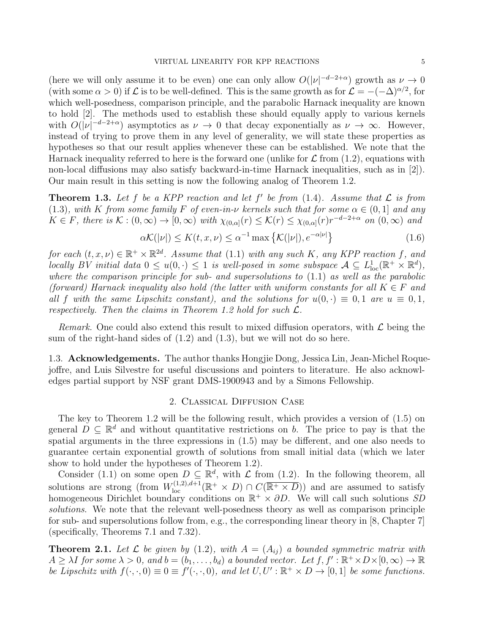(here we will only assume it to be even) one can only allow  $O(|\nu|^{-d-2+\alpha})$  growth as  $\nu \to 0$ (with some  $\alpha > 0$ ) if  $\mathcal L$  is to be well-defined. This is the same growth as for  $\mathcal L = -(-\Delta)^{\alpha/2}$ , for which well-posedness, comparison principle, and the parabolic Harnack inequality are known to hold [2]. The methods used to establish these should equally apply to various kernels with  $O(|\nu|^{-d-2+\alpha})$  asymptotics as  $\nu \to 0$  that decay exponentially as  $\nu \to \infty$ . However, instead of trying to prove them in any level of generality, we will state these properties as hypotheses so that our result applies whenever these can be established. We note that the Harnack inequality referred to here is the forward one (unlike for  $\mathcal L$  from (1.2), equations with non-local diffusions may also satisfy backward-in-time Harnack inequalities, such as in [2]). Our main result in this setting is now the following analog of Theorem 1.2.

**Theorem 1.3.** Let f be a KPP reaction and let f' be from  $(1.4)$ . Assume that  $\mathcal{L}$  is from (1.3), with K from some family F of even-in- $\nu$  kernels such that for some  $\alpha \in (0,1]$  and any  $K \in F$ , there is  $\mathcal{K} : (0, \infty) \to [0, \infty)$  with  $\chi_{(0, \alpha]}(r) \leq \mathcal{K}(r) \leq \chi_{(0, \alpha]}(r) r^{-d-2+\alpha}$  on  $(0, \infty)$  and

$$
\alpha \mathcal{K}(|\nu|) \le K(t, x, \nu) \le \alpha^{-1} \max \left\{ \mathcal{K}(|\nu|), e^{-\alpha |\nu|} \right\} \tag{1.6}
$$

for each  $(t, x, \nu) \in \mathbb{R}^+ \times \mathbb{R}^{2d}$ . Assume that (1.1) with any such K, any KPP reaction f, and locally BV initial data  $0 \le u(0, \cdot) \le 1$  is well-posed in some subspace  $\mathcal{A} \subseteq L^1_{loc}(\mathbb{R}^+ \times \mathbb{R}^d)$ , where the comparison principle for sub- and supersolutions to  $(1.1)$  as well as the parabolic (forward) Harnack inequality also hold (the latter with uniform constants for all  $K \in F$  and all f with the same Lipschitz constant), and the solutions for  $u(0, \cdot) \equiv 0, 1$  are  $u \equiv 0, 1$ , respectively. Then the claims in Theorem 1.2 hold for such  $\mathcal{L}$ .

Remark. One could also extend this result to mixed diffusion operators, with  $\mathcal L$  being the sum of the right-hand sides of  $(1.2)$  and  $(1.3)$ , but we will not do so here.

1.3. **Acknowledgements.** The author thanks Hongjie Dong, Jessica Lin, Jean-Michel Roquejoffre, and Luis Silvestre for useful discussions and pointers to literature. He also acknowledges partial support by NSF grant DMS-1900943 and by a Simons Fellowship.

### 2. Classical Diffusion Case

The key to Theorem 1.2 will be the following result, which provides a version of (1.5) on general  $D \subseteq \mathbb{R}^d$  and without quantitative restrictions on b. The price to pay is that the spatial arguments in the three expressions in (1.5) may be different, and one also needs to guarantee certain exponential growth of solutions from small initial data (which we later show to hold under the hypotheses of Theorem 1.2).

Consider (1.1) on some open  $D \subseteq \mathbb{R}^d$ , with  $\mathcal L$  from (1.2). In the following theorem, all solutions are strong (from  $W^{(1,2),d+1}_{loc}(\mathbb{R}^+\times D) \cap C(\overline{\mathbb{R}^+\times D})$ ) and are assumed to satisfy homogeneous Dirichlet boundary conditions on  $\mathbb{R}^+ \times \partial D$ . We will call such solutions SD solutions. We note that the relevant well-posedness theory as well as comparison principle for sub- and supersolutions follow from, e.g., the corresponding linear theory in [8, Chapter 7] (specifically, Theorems 7.1 and 7.32).

**Theorem 2.1.** Let  $\mathcal{L}$  be given by (1.2), with  $A = (A_{ij})$  a bounded symmetric matrix with  $A \geq \lambda I$  for some  $\lambda > 0$ , and  $b = (b_1, \ldots, b_d)$  a bounded vector. Let  $f, f': \mathbb{R}^+ \times D \times [0, \infty) \to \mathbb{R}$ be Lipschitz with  $f(\cdot,\cdot,0) \equiv 0 \equiv f'(\cdot,\cdot,0)$ , and let  $U, U' : \mathbb{R}^+ \times D \to [0,1]$  be some functions.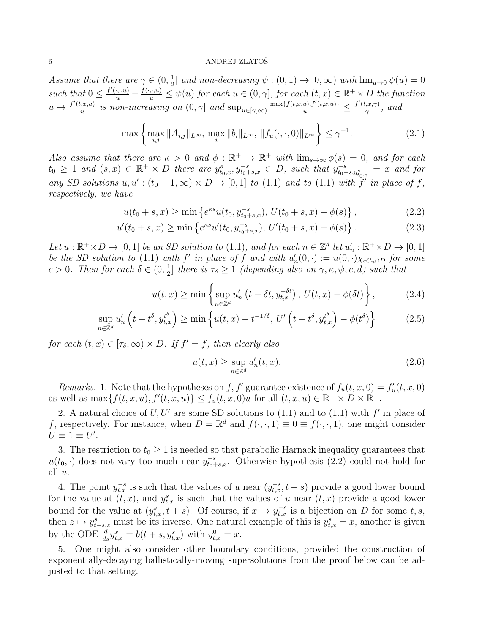Assume that there are  $\gamma \in (0, \frac{1}{2})$  $\frac{1}{2}$ ] and non-decreasing  $\psi : (0,1) \to [0,\infty)$  with  $\lim_{u\to 0} \psi(u) = 0$ such that  $0 \leq \frac{f'(\cdot,\cdot,u)}{u} - \frac{f(\cdot,\cdot,u)}{u} \leq \psi(u)$  for each  $u \in (0,\gamma]$ , for each  $(t,x) \in \mathbb{R}^+ \times D$  the function  $u \mapsto \frac{f'(t,x,u)}{u}$  $\frac{u(x,y)}{u}$  is non-increasing on  $(0, \gamma]$  and  $\sup_{u \in [\gamma, \infty)} \frac{\max\{f(t,x,u), f'(t,x,u)\}}{u} \leq \frac{f'(t,x,\gamma)}{\gamma}$  $\frac{\partial \phi}{\partial x}, \text{ and}$ 

$$
\max\left\{\max_{i,j} \|A_{i,j}\|_{L^{\infty}}, \max_{i} \|b_{i}\|_{L^{\infty}}, \|f_{u}(\cdot,\cdot,0)\|_{L^{\infty}}\right\} \leq \gamma^{-1}.
$$
\n(2.1)

Also assume that there are  $\kappa > 0$  and  $\phi : \mathbb{R}^+ \to \mathbb{R}^+$  with  $\lim_{s\to\infty} \phi(s) = 0$ , and for each  $t_0 \geq 1$  and  $(s, x) \in \mathbb{R}^+ \times D$  there are  $y_{t_0,x}^s, y_{t_0+s,x}^{-s} \in D$ , such that  $y_{t_0+s,y_{t_0,x}^s}^{-s} = x$  and for any SD solutions  $u, u': (t_0 - 1, \infty) \times D \to [0, 1]$  to (1.1) and to (1.1) with f' in place of f, respectively, we have

$$
u(t_0 + s, x) \ge \min\left\{e^{\kappa s}u(t_0, y_{t_0 + s, x}^{-s}), U(t_0 + s, x) - \phi(s)\right\},\tag{2.2}
$$

$$
u'(t_0 + s, x) \ge \min \left\{ e^{\kappa s} u'(t_0, y_{t_0 + s, x}^{-s}), \, U'(t_0 + s, x) - \phi(s) \right\}.
$$
 (2.3)

Let  $u : \mathbb{R}^+ \times D \to [0, 1]$  be an SD solution to (1.1), and for each  $n \in \mathbb{Z}^d$  let  $u'_n : \mathbb{R}^+ \times D \to [0, 1]$ be the SD solution to (1.1) with f' in place of f and with  $u'_n(0, \cdot) := u(0, \cdot) \chi_{cC_n \cap D}$  for some  $c > 0$ . Then for each  $\delta \in (0, \frac{1}{2})$  $\frac{1}{2}$  there is  $\tau_{\delta} \geq 1$  (depending also on  $\gamma$ ,  $\kappa$ ,  $\psi$ ,  $c$ ,  $d$ ) such that

$$
u(t,x) \ge \min\left\{\sup_{n\in\mathbb{Z}^d} u'_n\left(t - \delta t, y_{t,x}^{-\delta t}\right), \, U(t,x) - \phi(\delta t)\right\},\tag{2.4}
$$

$$
\sup_{n\in\mathbb{Z}^d} u'_n\left(t+t^{\delta}, y_{t,x}^{t^{\delta}}\right) \ge \min\left\{u(t,x)-t^{-1/\delta},\,U'\left(t+t^{\delta}, y_{t,x}^{t^{\delta}}\right)-\phi(t^{\delta})\right\} \tag{2.5}
$$

for each  $(t, x) \in [\tau_\delta, \infty) \times D$ . If  $f' = f$ , then clearly also

$$
u(t,x) \ge \sup_{n \in \mathbb{Z}^d} u'_n(t,x). \tag{2.6}
$$

Remarks. 1. Note that the hypotheses on f, f' guarantee existence of  $f_u(t, x, 0) = f'_u(t, x, 0)$ as well as  $\max\{f(t,x,u), f'(t,x,u)\}\leq f_u(t,x,0)u$  for all  $(t,x,u)\in \mathbb{R}^+\times D\times \mathbb{R}^+$ .

2. A natural choice of  $U, U'$  are some SD solutions to (1.1) and to (1.1) with  $f'$  in place of f, respectively. For instance, when  $D = \mathbb{R}^d$  and  $f(\cdot, \cdot, 1) \equiv 0 \equiv f(\cdot, \cdot, 1)$ , one might consider  $U \equiv 1 \equiv U'.$ 

3. The restriction to  $t_0 \geq 1$  is needed so that parabolic Harnack inequality guarantees that  $u(t_0, \cdot)$  does not vary too much near  $y_{t_0+s,x}^{-s}$ . Otherwise hypothesis (2.2) could not hold for all u.

4. The point  $y_{t,x}^{-s}$  is such that the values of u near  $(y_{t,x}^{-s}, t-s)$  provide a good lower bound for the value at  $(t, x)$ , and  $y_{t, x}^{s}$  is such that the values of u near  $(t, x)$  provide a good lower bound for the value at  $(y_{t,x}^s, t+s)$ . Of course, if  $x \mapsto y_{t,x}^{-s}$  is a bijection on D for some t, s, then  $z \mapsto y_{t-s,z}^s$  must be its inverse. One natural example of this is  $y_{t,x}^s = x$ , another is given by the ODE  $\frac{d}{ds} y_{t,x}^s = b(t+s, y_{t,x}^s)$  with  $y_{t,x}^0 = x$ .

5. One might also consider other boundary conditions, provided the construction of exponentially-decaying ballistically-moving supersolutions from the proof below can be adjusted to that setting.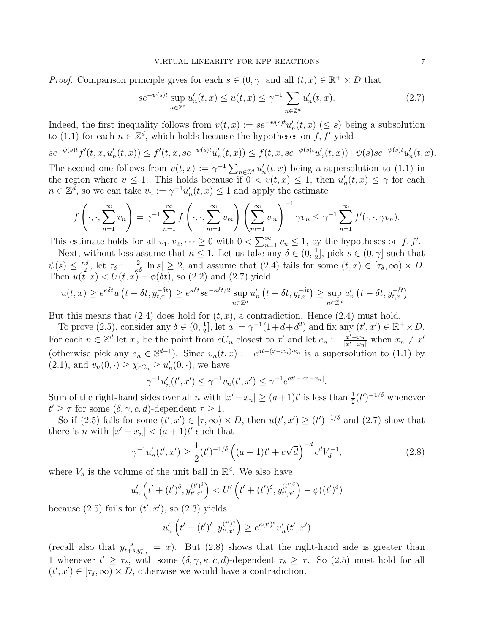*Proof.* Comparison principle gives for each  $s \in (0, \gamma]$  and all  $(t, x) \in \mathbb{R}^+ \times D$  that

$$
se^{-\psi(s)t} \sup_{n \in \mathbb{Z}^d} u'_n(t, x) \le u(t, x) \le \gamma^{-1} \sum_{n \in \mathbb{Z}^d} u'_n(t, x). \tag{2.7}
$$

Indeed, the first inequality follows from  $v(t,x) := s e^{-\psi(s)t} u'_n(t,x)$  ( $\leq s$ ) being a subsolution to (1.1) for each  $n \in \mathbb{Z}^d$ , which holds because the hypotheses on f, f' yield

$$
se^{-\psi(s)t}f'(t,x,u_n'(t,x)) \le f'(t,x,se^{-\psi(s)t}u_n'(t,x)) \le f(t,x,se^{-\psi(s)t}u_n'(t,x)) + \psi(s)se^{-\psi(s)t}u_n'(t,x).
$$

The second one follows from  $v(t, x) := \gamma^{-1} \sum_{n \in \mathbb{Z}^d} u'_n(t, x)$  being a supersolution to (1.1) in the region where  $v \leq 1$ . This holds because if  $0 < v(t, x) \leq 1$ , then  $u'_n(t, x) \leq \gamma$  for each  $n \in \mathbb{Z}^d$ , so we can take  $v_n := \gamma^{-1} u'_n(t, x) \leq 1$  and apply the estimate

$$
f\left(\cdot,\cdot,\sum_{n=1}^{\infty}v_n\right)=\gamma^{-1}\sum_{n=1}^{\infty}f\left(\cdot,\cdot,\sum_{m=1}^{\infty}v_m\right)\left(\sum_{m=1}^{\infty}v_m\right)^{-1}\gamma v_n\leq \gamma^{-1}\sum_{n=1}^{\infty}f'(\cdot,\cdot,\gamma v_n).
$$

This estimate holds for all  $v_1, v_2, \dots \ge 0$  with  $0 < \sum_{n=1}^{\infty} v_n \le 1$ , by the hypotheses on  $f, f'$ .

Next, without loss assume that  $\kappa \leq 1$ . Let us take any  $\delta \in (0, \frac{1}{2})$  $\frac{1}{2}$ , pick  $s \in (0, \gamma]$  such that  $\psi(s) \leq \frac{\kappa \delta}{2}$  $\frac{3}{2}$ , let  $\tau_{\delta} := \frac{2}{\kappa \delta} |\ln s| \geq 2$ , and assume that  $(2.4)$  fails for some  $(t, x) \in [\tau_{\delta}, \infty) \times D$ . Then  $u(\bar{t}, x) < U(t, x) - \phi(\delta t)$ , so (2.2) and (2.7) yield

$$
u(t,x) \ge e^{\kappa \delta t} u \left( t - \delta t, y_{t,x}^{-\delta t} \right) \ge e^{\kappa \delta t} s e^{-\kappa \delta t/2} \sup_{n \in \mathbb{Z}^d} u'_n \left( t - \delta t, y_{t,x}^{-\delta t} \right) \ge \sup_{n \in \mathbb{Z}^d} u'_n \left( t - \delta t, y_{t,x}^{-\delta t} \right).
$$

But this means that  $(2.4)$  does hold for  $(t, x)$ , a contradiction. Hence  $(2.4)$  must hold.

To prove (2.5), consider any  $\delta \in (0, \frac{1}{2})$  $\frac{1}{2}$ , let  $a := \gamma^{-1}(1+d+d^2)$  and fix any  $(t', x') \in \mathbb{R}^+ \times D$ . For each  $n \in \mathbb{Z}^d$  let  $x_n$  be the point from  $c\overline{C}_n$  closest to  $x'$  and let  $e_n := \frac{x'-x_n}{|x'-x_n|}$  when  $x_n \neq x'$ (otherwise pick any  $e_n \in \mathbb{S}^{d-1}$ ). Since  $v_n(t,x) := e^{at-(x-x_n)\cdot e_n}$  is a supersolution to (1.1) by  $(2.1)$ , and  $v_n(0,.) \geq \chi_{cC_n} \geq u'_n(0,.)$ , we have

$$
\gamma^{-1}u'_n(t',x') \le \gamma^{-1}v_n(t',x') \le \gamma^{-1}e^{at'-|x'-x_n|}.
$$

Sum of the right-hand sides over all n with  $|x'-x_n| \geq (a+1)t'$  is less than  $\frac{1}{2}(t')^{-1/\delta}$  whenever  $t' \geq \tau$  for some  $(\delta, \gamma, c, d)$ -dependent  $\tau \geq 1$ .

So if (2.5) fails for some  $(t', x') \in [\tau, \infty) \times D$ , then  $u(t', x') \ge (t')^{-1/\delta}$  and (2.7) show that there is *n* with  $|x'-x_n| < (a+1)t'$  such that

$$
\gamma^{-1}u_n'(t',x') \ge \frac{1}{2}(t')^{-1/\delta} \left( (a+1)t' + c\sqrt{d} \right)^{-d} c^d V_d^{-1},\tag{2.8}
$$

where  $V_d$  is the volume of the unit ball in  $\mathbb{R}^d$ . We also have

$$
u'_{n}\left(t'+(t')^{\delta}, y_{t',x'}^{(t')^{\delta}}\right) < U'\left(t'+(t')^{\delta}, y_{t',x'}^{(t')^{\delta}}\right) - \phi((t')^{\delta})
$$

because  $(2.5)$  fails for  $(t', x')$ , so  $(2.3)$  yields

$$
u'_{n}\left(t'+(t')^{\delta}, y_{t',x'}^{(t')^{\delta}}\right) \geq e^{\kappa(t')^{\delta}} u'_{n}(t',x')
$$

(recall also that  $y_{t+s,y_{t,x}}^{-s} = x$ ). But (2.8) shows that the right-hand side is greater than 1 whenever  $t' \geq \tau_{\delta}$ , with some  $(\delta, \gamma, \kappa, c, d)$ -dependent  $\tau_{\delta} \geq \tau$ . So (2.5) must hold for all  $(t', x') \in [\tau_{\delta}, \infty) \times D$ , otherwise we would have a contradiction.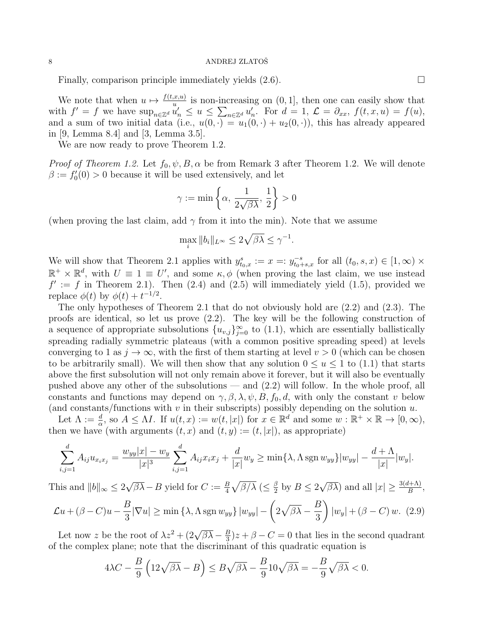Finally, comparison principle immediately yields  $(2.6)$ .

We note that when  $u \mapsto \frac{f(t,x,u)}{u}$  is non-increasing on  $(0, 1]$ , then one can easily show that with  $f' = f$  we have  $\sup_{n \in \mathbb{Z}^d} \tilde{u}'_n \leq u \leq \sum_{n \in \mathbb{Z}^d} u'_n$ . For  $d = 1, \mathcal{L} = \partial_{xx}, f(t, x, u) = f(u)$ , and a sum of two initial data (i.e.,  $u(0, \cdot) = u_1(0, \cdot) + u_2(0, \cdot)$ ), this has already appeared in [9, Lemma 8.4] and [3, Lemma 3.5].

We are now ready to prove Theorem 1.2.

*Proof of Theorem 1.2.* Let  $f_0, \psi, B, \alpha$  be from Remark 3 after Theorem 1.2. We will denote  $\beta := f'_0(0) > 0$  because it will be used extensively, and let

$$
\gamma:=\min\left\{\alpha,\,\frac{1}{2\sqrt{\beta\lambda}},\,\frac{1}{2}\right\}>0
$$

(when proving the last claim, add  $\gamma$  from it into the min). Note that we assume

$$
\max_{i} \|b_{i}\|_{L^{\infty}} \le 2\sqrt{\beta\lambda} \le \gamma^{-1}.
$$

We will show that Theorem 2.1 applies with  $y_{t_0,x}^s := x =: y_{t_0+s,x}^{-s}$  for all  $(t_0, s, x) \in [1, \infty) \times$  $\mathbb{R}^+ \times \mathbb{R}^d$ , with  $U \equiv 1 \equiv U'$ , and some  $\kappa, \phi$  (when proving the last claim, we use instead  $f' := f$  in Theorem 2.1). Then (2.4) and (2.5) will immediately yield (1.5), provided we replace  $\phi(t)$  by  $\phi(t) + t^{-1/2}$ .

The only hypotheses of Theorem 2.1 that do not obviously hold are (2.2) and (2.3). The proofs are identical, so let us prove (2.2). The key will be the following construction of a sequence of appropriate subsolutions  $\{u_{v,j}\}_{j=0}^{\infty}$  to (1.1), which are essentially ballistically spreading radially symmetric plateaus (with a common positive spreading speed) at levels converging to 1 as  $j \to \infty$ , with the first of them starting at level  $v > 0$  (which can be chosen to be arbitrarily small). We will then show that any solution  $0 \le u \le 1$  to  $(1.1)$  that starts above the first subsolution will not only remain above it forever, but it will also be eventually pushed above any other of the subsolutions — and (2.2) will follow. In the whole proof, all constants and functions may depend on  $\gamma$ ,  $\beta$ ,  $\lambda$ ,  $\psi$ ,  $B$ ,  $f_0$ ,  $d$ , with only the constant v below (and constants/functions with  $v$  in their subscripts) possibly depending on the solution  $u$ .

Let  $\Lambda := \frac{d}{\alpha}$ , so  $A \leq \Lambda I$ . If  $u(t, x) := w(t, |x|)$  for  $x \in \mathbb{R}^d$  and some  $w : \mathbb{R}^+ \times \mathbb{R} \to [0, \infty)$ , then we have (with arguments  $(t, x)$  and  $(t, y) := (t, |x|)$ , as appropriate)

$$
\sum_{i,j=1}^d A_{ij} u_{x_ix_j} = \frac{w_{yy}|x| - w_y}{|x|^3} \sum_{i,j=1}^d A_{ij} x_i x_j + \frac{d}{|x|} w_y \ge \min\{\lambda, \Lambda \operatorname{sgn} w_{yy}\} |w_{yy}| - \frac{d+\Lambda}{|x|} |w_y|.
$$

This and  $||b||_{\infty} \leq 2$  $\sqrt{\beta\lambda} - B$  yield for  $C := \frac{B}{4} \sqrt{\beta/\lambda}$  ( $\leq \frac{\beta}{2}$ )  $\frac{\beta}{2}$  by  $B \leq 2$  $\sqrt{\beta\lambda}$  and all  $|x| \geq \frac{3(d+\Lambda)}{B}$ ,  $\mathcal{L}u + (\beta - C)u - \frac{B}{2}$  $\frac{B}{3}|\nabla u| \geq \min\left\{\lambda, \Lambda\operatorname{sgn} w_{yy}\right\}|w_{yy}| - \left(2\sqrt{\beta\lambda} - \frac{B}{3}\right)$ 3  $\setminus$  $|w_y| + (\beta - C) w$ . (2.9)

Let now z be the root of  $\lambda z^2 + (2\sqrt{\beta\lambda} - \frac{B}{3})$  $\frac{B}{3}$ )z +  $\beta$  –  $C$  = 0 that lies in the second quadrant of the complex plane; note that the discriminant of this quadratic equation is

$$
4\lambda C - \frac{B}{9} \left( 12\sqrt{\beta\lambda} - B \right) \leq B\sqrt{\beta\lambda} - \frac{B}{9} 10\sqrt{\beta\lambda} = -\frac{B}{9} \sqrt{\beta\lambda} < 0.
$$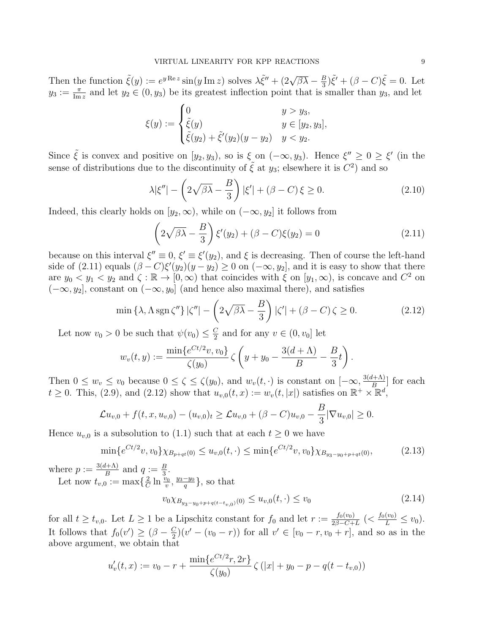Then the function  $\tilde{\xi}(y) := e^{y \operatorname{Re} z} \sin(y \operatorname{Im} z)$  solves  $\lambda \tilde{\xi}'' + (2\sqrt{\beta\lambda} - \frac{B}{3})$  $\frac{B}{3}$ ) $\tilde{\xi}' + (\beta - C)\tilde{\xi} = 0$ . Let  $y_3 := \frac{\pi}{\text{Im }z}$  and let  $y_2 \in (0, y_3)$  be its greatest inflection point that is smaller than  $y_3$ , and let

$$
\xi(y) := \begin{cases} 0 & y > y_3, \\ \tilde{\xi}(y) & y \in [y_2, y_3], \\ \tilde{\xi}(y_2) + \tilde{\xi}'(y_2)(y - y_2) & y < y_2. \end{cases}
$$

Since  $\tilde{\xi}$  is convex and positive on  $[y_2, y_3)$ , so is  $\xi$  on  $(-\infty, y_3)$ . Hence  $\xi'' \geq 0 \geq \xi'$  (in the sense of distributions due to the discontinuity of  $\tilde{\xi}$  at  $y_3$ ; elsewhere it is  $C^2$ ) and so

$$
\lambda |\xi''| - \left(2\sqrt{\beta\lambda} - \frac{B}{3}\right)|\xi'| + (\beta - C)\xi \ge 0. \tag{2.10}
$$

Indeed, this clearly holds on  $[y_2,\infty)$ , while on  $(-\infty, y_2]$  it follows from

$$
\left(2\sqrt{\beta\lambda} - \frac{B}{3}\right)\xi'(y_2) + (\beta - C)\xi(y_2) = 0\tag{2.11}
$$

because on this interval  $\xi'' \equiv 0$ ,  $\xi' \equiv \xi'(y_2)$ , and  $\xi$  is decreasing. Then of course the left-hand side of (2.11) equals  $(\beta - C)\xi'(y_2)(y - y_2) \ge 0$  on  $(-\infty, y_2]$ , and it is easy to show that there are  $y_0 < y_1 < y_2$  and  $\zeta : \mathbb{R} \to [0, \infty)$  that coincides with  $\xi$  on  $[y_1, \infty)$ , is concave and  $C^2$  on  $(-\infty, y_2]$ , constant on  $(-\infty, y_0]$  (and hence also maximal there), and satisfies

$$
\min\left\{\lambda, \Lambda \operatorname{sgn} \zeta''\right\} |\zeta''| - \left(2\sqrt{\beta\lambda} - \frac{B}{3}\right)|\zeta'| + (\beta - C)\zeta \ge 0. \tag{2.12}
$$

Let now  $v_0 > 0$  be such that  $\psi(v_0) \leq \frac{C}{2}$  $\frac{C}{2}$  and for any  $v \in (0, v_0]$  let

$$
w_v(t,y) := \frac{\min\{e^{Ct/2}v, v_0\}}{\zeta(y_0)} \zeta \left(y + y_0 - \frac{3(d+\Lambda)}{B} - \frac{B}{3}t\right).
$$

Then  $0 \leq w_v \leq v_0$  because  $0 \leq \zeta \leq \zeta(y_0)$ , and  $w_v(t, \cdot)$  is constant on  $[-\infty, \frac{3(d+\Lambda)}{B}]$  $\frac{B^{(t+\Lambda)}}{B}$  for each  $t \geq 0$ . This, (2.9), and (2.12) show that  $u_{v,0}(t,x) := w_v(t, |x|)$  satisfies on  $\mathbb{R}^+ \times \mathbb{R}^d$ ,

$$
\mathcal{L}u_{v,0} + f(t, x, u_{v,0}) - (u_{v,0})_t \geq \mathcal{L}u_{v,0} + (\beta - C)u_{v,0} - \frac{B}{3}|\nabla u_{v,0}| \geq 0.
$$

Hence  $u_{v,0}$  is a subsolution to (1.1) such that at each  $t \geq 0$  we have

$$
\min\{e^{Ct/2}v, v_0\}\chi_{B_{p+qt}(0)} \le u_{v,0}(t, \cdot) \le \min\{e^{Ct/2}v, v_0\}\chi_{B_{y_3-y_0+p+qt}(0)},\tag{2.13}
$$

where  $p := \frac{3(d+\Lambda)}{B}$  $\frac{d+\Lambda}{B}$  and  $q := \frac{B}{3}$ . Let now  $t_{v,0} := \max\{\frac{2}{C}\}$  $\frac{2}{C}\ln\frac{v_0}{v},\frac{y_3-y_0}{q}$  $\frac{-y_0}{q}$ , so that

$$
v_0 \chi_{B_{y_3 - y_0 + p + q(t - t_{v,0})}(0)} \le u_{v,0}(t, \cdot) \le v_0
$$
\n(2.14)

for all  $t \geq t_{v,0}$ . Let  $L \geq 1$  be a Lipschitz constant for  $f_0$  and let  $r := \frac{f_0(v_0)}{2\beta - C_1}$  $\frac{f_0(v_0)}{2\beta - C + L}$  (<  $\frac{f_0(v_0)}{L} \le v_0$ ). It follows that  $f_0(v') \geq (\beta - \frac{C}{2})$  $\frac{C}{2}(v' - (v_0 - r))$  for all  $v' \in [v_0 - r, v_0 + r]$ , and so as in the above argument, we obtain that

$$
u'_{v}(t,x) := v_0 - r + \frac{\min\{e^{Ct/2}r, 2r\}}{\zeta(y_0)} \zeta(|x| + y_0 - p - q(t - t_{v,0}))
$$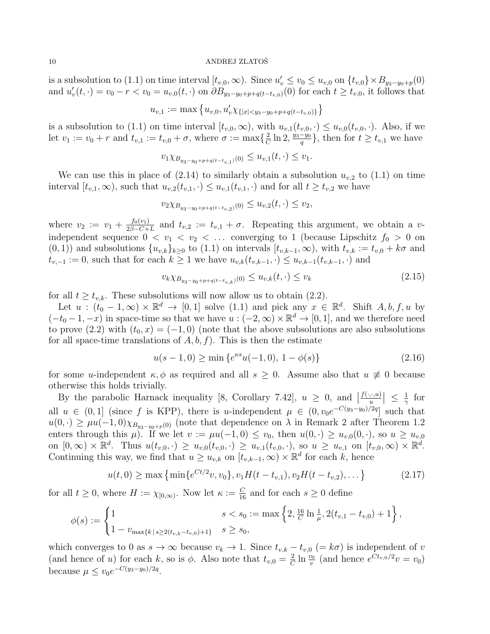is a subsolution to (1.1) on time interval  $[t_{v,0}, \infty)$ . Since  $u'_v \le v_0 \le u_{v,0}$  on  $\{t_{v,0}\}\times B_{y_3-y_0+p}(0)$ and  $u'_{v}(t, \cdot) = v_0 - r < v_0 = u_{v,0}(t, \cdot)$  on  $\partial B_{y_3-y_0+p+q(t-t_{v,0})}(0)$  for each  $t \geq t_{v,0}$ , it follows that

$$
u_{v,1} := \max\left\{u_{v,0}, u'_v \chi_{\{|x| < y_3 - y_0 + p + q(t - t_{v,0})\}}\right\}
$$

is a subsolution to (1.1) on time interval  $[t_{v,0}, \infty)$ , with  $u_{v,1}(t_{v,0}, \cdot) \leq u_{v,0}(t_{v,0}, \cdot)$ . Also, if we let  $v_1 := v_0 + r$  and  $t_{v,1} := t_{v,0} + \sigma$ , where  $\sigma := \max\{\frac{2}{C}\}$  $\frac{2}{C}\ln 2, \frac{y_3-y_0}{q}$  $\frac{-y_0}{q}$ , then for  $t \geq t_{v,1}$  we have

$$
v_1 \chi_{B_{y_3-y_0+p+q(t-t_{v,1})}(0)} \le u_{v,1}(t,\cdot) \le v_1.
$$

We can use this in place of  $(2.14)$  to similarly obtain a subsolution  $u_{v,2}$  to  $(1.1)$  on time interval  $[t_{v,1},\infty)$ , such that  $u_{v,2}(t_{v,1},\cdot) \leq u_{v,1}(t_{v,1},\cdot)$  and for all  $t \geq t_{v,2}$  we have

$$
v_2 \chi_{B_{y_3-y_0+p+q(t-t_{v,2})}(0)} \le u_{v,2}(t,\cdot) \le v_2,
$$

where  $v_2 := v_1 + \frac{f_0(v_1)}{2\beta - C + 1}$  $\frac{J_0(v_1)}{2\beta - C + L}$  and  $t_{v,2} := t_{v,1} + \sigma$ . Repeating this argument, we obtain a vindependent sequence  $0 < v_1 < v_2 < \ldots$  converging to 1 (because Lipschitz  $f_0 > 0$  on  $(0, 1)$  and subsolutions  $\{u_{v,k}\}_{k\geq0}$  to  $(1.1)$  on intervals  $[t_{v,k-1}, \infty)$ , with  $t_{v,k} := t_{v,0} + k\sigma$  and  $t_{v,-1} := 0$ , such that for each  $k \geq 1$  we have  $u_{v,k}(t_{v,k-1}, \cdot) \leq u_{v,k-1}(t_{v,k-1}, \cdot)$  and

$$
v_k \chi_{B_{y_3 - y_0 + p + q(t - t_{v,k})}(0)} \le u_{v,k}(t, \cdot) \le v_k
$$
\n(2.15)

for all  $t \geq t_{v,k}$ . These subsolutions will now allow us to obtain (2.2).

Let  $u : (t_0 - 1, \infty) \times \mathbb{R}^d \to [0, 1]$  solve  $(1.1)$  and pick any  $x \in \mathbb{R}^d$ . Shift  $A, b, f, u$  by  $(-t_0-1,-x)$  in space-time so that we have  $u:(-2,\infty)\times\mathbb{R}^d\to[0,1]$ , and we therefore need to prove (2.2) with  $(t_0, x) = (-1, 0)$  (note that the above subsolutions are also subsolutions for all space-time translations of  $A, b, f$ . This is then the estimate

$$
u(s-1,0) \ge \min\left\{e^{\kappa s}u(-1,0),\ 1-\phi(s)\right\} \tag{2.16}
$$

for some u-independent  $\kappa, \phi$  as required and all  $s \geq 0$ . Assume also that  $u \not\equiv 0$  because otherwise this holds trivially.

By the parabolic Harnack inequality [8, Corollary 7.42],  $u \ge 0$ , and |  $f(\cdot,\cdot,u)$  $\left|\frac{u}{u}\right| \leq \frac{1}{\gamma}$  $rac{1}{\gamma}$  for all  $u \in (0,1]$  (since f is KPP), there is u-independent  $\mu \in (0, v_0e^{-C(y_3-y_0)/2q}]$  such that  $u(0, \cdot) \geq \mu u(-1, 0)\chi_{B_{y_3-y_0+p}(0)}$  (note that dependence on  $\lambda$  in Remark 2 after Theorem 1.2 enters through this  $\mu$ ). If we let  $v := \mu u(-1,0) \le v_0$ , then  $u(0,\cdot) \ge u_{v,0}(0,\cdot)$ , so  $u \ge u_{v,0}$ on  $[0,\infty)\times\mathbb{R}^d$ . Thus  $u(t_{v,0},\cdot)\geq u_{v,0}(t_{v,0},\cdot)\geq u_{v,1}(t_{v,0},\cdot)$ , so  $u\geq u_{v,1}$  on  $[t_{v,0},\infty)\times\mathbb{R}^d$ . Continuing this way, we find that  $u \geq u_{v,k}$  on  $[t_{v,k-1}, \infty) \times \mathbb{R}^d$  for each k, hence

$$
u(t,0) \ge \max\left\{\min\{e^{Ct/2}v, v_0\}, v_1H(t-t_{v,1}), v_2H(t-t_{v,2}), \dots\right\}
$$
 (2.17)

for all  $t \geq 0$ , where  $H := \chi_{[0,\infty)}$ . Now let  $\kappa := \frac{C}{16}$  and for each  $s \geq 0$  define

$$
\phi(s) := \begin{cases} 1 & s < s_0 := \max\left\{2, \frac{16}{C} \ln \frac{1}{\mu}, 2(t_{v,1} - t_{v,0}) + 1\right\}, \\ 1 - v_{\max\{k \mid s \ge 2(t_{v,k} - t_{v,0}) + 1\}} & s \ge s_0, \end{cases}
$$

which converges to 0 as  $s \to \infty$  because  $v_k \to 1$ . Since  $t_{v,k} - t_{v,0}$  (=  $k\sigma$ ) is independent of v (and hence of u) for each k, so is  $\phi$ . Also note that  $t_{v,0} = \frac{2}{C}$  $\frac{2}{C} \ln \frac{v_0}{v}$  (and hence  $e^{Ct_{v,0}/2}v = v_0$ ) because  $\mu \le v_0 e^{-C(y_3 - y_0)/2q}$ .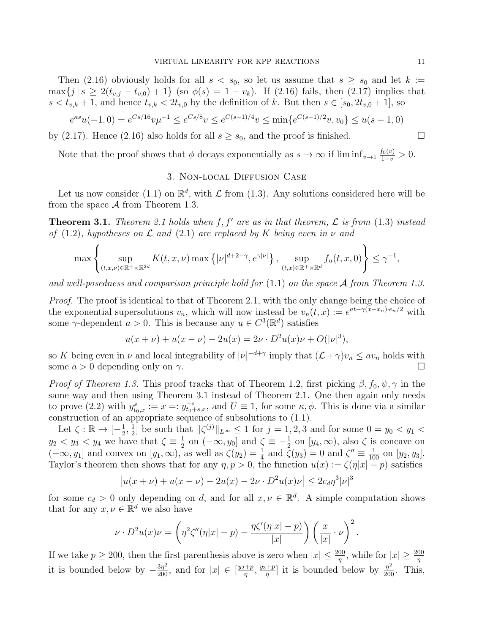Then (2.16) obviously holds for all  $s < s_0$ , so let us assume that  $s \geq s_0$  and let  $k :=$  $\max\{j \mid s \geq 2(t_{v,j} - t_{v,0}) + 1\}$  (so  $\phi(s) = 1 - v_k$ ). If (2.16) fails, then (2.17) implies that  $s < t_{v,k} + 1$ , and hence  $t_{v,k} < 2t_{v,0}$  by the definition of k. But then  $s \in [s_0, 2t_{v,0} + 1]$ , so

$$
e^{\kappa s}u(-1,0) = e^{Cs/16}v\mu^{-1} \le e^{Cs/8}v \le e^{C(s-1)/4}v \le \min\{e^{C(s-1)/2}v, v_0\} \le u(s-1,0)
$$

by (2.17). Hence (2.16) also holds for all  $s \geq s_0$ , and the proof is finished.

Note that the proof shows that  $\phi$  decays exponentially as  $s \to \infty$  if  $\liminf_{v \to 1} \frac{f_0(v)}{1-v} > 0$ .

# 3. Non-local Diffusion Case

Let us now consider (1.1) on  $\mathbb{R}^d$ , with  $\mathcal L$  from (1.3). Any solutions considered here will be from the space  $\mathcal A$  from Theorem 1.3.

**Theorem 3.1.** Theorem 2.1 holds when f, f' are as in that theorem,  $\mathcal{L}$  is from (1.3) instead of (1.2), hypotheses on  $\mathcal L$  and (2.1) are replaced by K being even in  $\nu$  and

$$
\max\left\{\sup_{(t,x,\nu)\in\mathbb{R}^+\times\mathbb{R}^{2d}} K(t,x,\nu)\max\left\{|\nu|^{d+2-\gamma},e^{\gamma|\nu|}\right\},\sup_{(t,x)\in\mathbb{R}^+\times\mathbb{R}^d} f_u(t,x,0)\right\}\leq\gamma^{-1},
$$

and well-posedness and comparison principle hold for  $(1.1)$  on the space A from Theorem 1.3.

Proof. The proof is identical to that of Theorem 2.1, with the only change being the choice of the exponential supersolutions  $v_n$ , which will now instead be  $v_n(t,x) := e^{at - \gamma(x-x_n) \cdot e_n/2}$  with some  $\gamma$ -dependent  $a > 0$ . This is because any  $u \in C^3(\mathbb{R}^d)$  satisfies

$$
u(x + \nu) + u(x - \nu) - 2u(x) = 2\nu \cdot D^{2}u(x)\nu + O(|\nu|^{3}),
$$

so K being even in  $\nu$  and local integrability of  $|\nu|^{-d+\gamma}$  imply that  $(\mathcal{L}+\gamma)v_n \le av_n$  holds with some  $a > 0$  depending only on  $\gamma$ .

*Proof of Theorem 1.3.* This proof tracks that of Theorem 1.2, first picking  $\beta$ ,  $f_0$ ,  $\psi$ ,  $\gamma$  in the same way and then using Theorem 3.1 instead of Theorem 2.1. One then again only needs to prove (2.2) with  $y_{t_0,x}^s := x =: y_{t_0+s,x}^{-s}$ , and  $U \equiv 1$ , for some  $\kappa, \phi$ . This is done via a similar construction of an appropriate sequence of subsolutions to (1.1).

Let  $\zeta : \mathbb{R} \to [-\frac{1}{2}]$  $\frac{1}{2}, \frac{1}{2}$  $\frac{1}{2}$  be such that  $\|\zeta^{(j)}\|_{L^{\infty}} \leq 1$  for  $j = 1, 2, 3$  and for some  $0 = y_0 < y_1 <$  $y_2 < y_3 < y_4$  we have that  $\zeta \equiv \frac{1}{2}$  $\frac{1}{2}$  on  $(-\infty, y_0]$  and  $\zeta \equiv -\frac{1}{2}$  on  $[y_4, \infty)$ , also  $\zeta$  is concave on  $(-\infty, y_1]$  and convex on  $[y_1, \infty)$ , as well as  $\zeta(y_2) = \frac{1}{4}$  and  $\zeta(y_3) = 0$  and  $\zeta'' \equiv \frac{1}{100}$  on  $[y_2, y_3]$ . Taylor's theorem then shows that for any  $\eta, p > 0$ , the function  $u(x) := \zeta(\eta |x| - p)$  satisfies

$$
|u(x + \nu) + u(x - \nu) - 2u(x) - 2\nu \cdot D^2 u(x)\nu| \le 2c_d \eta^3 |\nu|^3
$$

for some  $c_d > 0$  only depending on d, and for all  $x, \nu \in \mathbb{R}^d$ . A simple computation shows that for any  $x, \nu \in \mathbb{R}^d$  we also have

$$
\nu \cdot D^2 u(x) \nu = \left( \eta^2 \zeta''(\eta|x| - p) - \frac{\eta \zeta'(\eta|x| - p)}{|x|} \right) \left( \frac{x}{|x|} \cdot \nu \right)^2.
$$

If we take  $p \ge 200$ , then the first parenthesis above is zero when  $|x| \le \frac{200}{\eta}$ , while for  $|x| \ge \frac{200}{\eta}$ it is bounded below by  $-\frac{3\eta^2}{200}$ , and for  $|x| \in \left[\frac{y_2+p}{\eta}\right]$  $\frac{p}{\eta}$ ,  $\frac{y_3+p}{\eta}$  $\frac{1+p}{\eta}$  it is bounded below by  $\frac{\eta^2}{200}$ . This,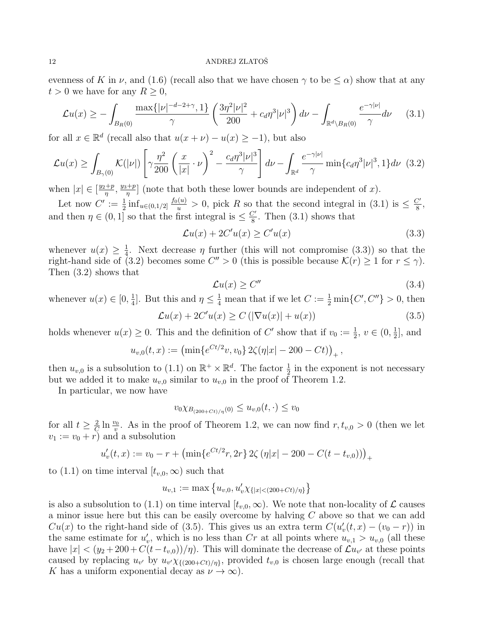evenness of K in  $\nu$ , and (1.6) (recall also that we have chosen  $\gamma$  to be  $\leq \alpha$ ) show that at any  $t > 0$  we have for any  $R \geq 0$ ,

$$
\mathcal{L}u(x) \ge -\int_{B_R(0)} \frac{\max\{|\nu|^{-d-2+\gamma}, 1\}}{\gamma} \left(\frac{3\eta^2 |\nu|^2}{200} + c_d \eta^3 |\nu|^3\right) d\nu - \int_{\mathbb{R}^d \backslash B_R(0)} \frac{e^{-\gamma |\nu|}}{\gamma} d\nu \tag{3.1}
$$

for all  $x \in \mathbb{R}^d$  (recall also that  $u(x + \nu) - u(x) \ge -1$ ), but also

$$
\mathcal{L}u(x) \ge \int_{B_{\gamma}(0)} \mathcal{K}(|\nu|) \left[ \gamma \frac{\eta^2}{200} \left( \frac{x}{|x|} \cdot \nu \right)^2 - \frac{c_d \eta^3 |\nu|^3}{\gamma} \right] d\nu - \int_{\mathbb{R}^d} \frac{e^{-\gamma |\nu|}}{\gamma} \min \{ c_d \eta^3 |\nu|^3, 1 \} d\nu \tag{3.2}
$$

when  $|x| \in \left[\frac{y_2+p}{n}\right]$  $\frac{p}{\eta}$ ,  $\frac{y_3+p}{\eta}$  $\frac{p+1}{p}$  (note that both these lower bounds are independent of x).

Let now  $C' := \frac{1}{2} \inf_{u \in (0,1/2]} \frac{f_0(u)}{u} > 0$ , pick R so that the second integral in (3.1) is  $\leq \frac{C'}{8}$  $\frac{y}{8}$ , and then  $\eta \in (0,1]$  so that the first integral is  $\leq \frac{C'}{8}$  $\frac{y}{8}$ . Then (3.1) shows that

$$
\mathcal{L}u(x) + 2C'u(x) \ge C'u(x) \tag{3.3}
$$

whenever  $u(x) \geq \frac{1}{4}$  $\frac{1}{4}$ . Next decrease  $\eta$  further (this will not compromise (3.3)) so that the right-hand side of (3.2) becomes some  $C'' > 0$  (this is possible because  $\mathcal{K}(r) \geq 1$  for  $r \leq \gamma$ ). Then (3.2) shows that

$$
\mathcal{L}u(x) \ge C'' \tag{3.4}
$$

whenever  $u(x) \in [0, \frac{1}{4}]$  $\frac{1}{4}$ . But this and  $\eta \leq \frac{1}{4}$  mean that if we let  $C := \frac{1}{2} \min\{C', C''\} > 0$ , then

$$
\mathcal{L}u(x) + 2C'u(x) \ge C\left(|\nabla u(x)| + u(x)\right) \tag{3.5}
$$

holds whenever  $u(x) \geq 0$ . This and the definition of C' show that if  $v_0 := \frac{1}{2}$ ,  $v \in (0, \frac{1}{2})$  $\frac{1}{2}$ , and

$$
u_{v,0}(t,x) := \left(\min\{e^{Ct/2}v, v_0\} 2\zeta(\eta|x| - 200 - Ct)\right)_+,
$$

then  $u_{v,0}$  is a subsolution to (1.1) on  $\mathbb{R}^+ \times \mathbb{R}^d$ . The factor  $\frac{1}{2}$  in the exponent is not necessary but we added it to make  $u_{v,0}$  similar to  $u_{v,0}$  in the proof of Theorem 1.2.

In particular, we now have

$$
v_{0} \chi_{B_{(200+Ct)/\eta}(0)} \le u_{v,0}(t,\cdot) \le v_{0}
$$

for all  $t \geq \frac{2}{C}$  $\frac{2}{C} \ln \frac{v_0}{v}$ . As in the proof of Theorem 1.2, we can now find  $r, t_{v,0} > 0$  (then we let  $v_1 := v_0 + r$  and a subsolution

$$
u'_{v}(t,x) := v_0 - r + \left(\min\{e^{Ct/2}r, 2r\} 2\zeta \left(\eta|x| - 200 - C(t - t_{v,0})\right)\right)_+
$$

to (1.1) on time interval  $[t_{v,0}, \infty)$  such that

$$
u_{v,1} := \max\left\{u_{v,0}, u'_v \chi_{\{|x| < (200 + Ct)/\eta\}}\right\}
$$

is also a subsolution to (1.1) on time interval  $[t_{v,0}, \infty)$ . We note that non-locality of  $\mathcal L$  causes a minor issue here but this can be easily overcome by halving C above so that we can add  $Cu(x)$  to the right-hand side of (3.5). This gives us an extra term  $C(u'_v(t,x) - (v_0 - r))$  in the same estimate for  $u'_v$ , which is no less than Cr at all points where  $u_{v,1} > u_{v,0}$  (all these have  $|x| < (y_2 + 200 + C(t - t_{v,0}))/\eta$ . This will dominate the decrease of  $\mathcal{L}u_{v'}$  at these points caused by replacing  $u_{v'}$  by  $u_{v'} \chi_{\{(200+Ct)/\eta\}},$  provided  $t_{v,0}$  is chosen large enough (recall that K has a uniform exponential decay as  $\nu \to \infty$ ).